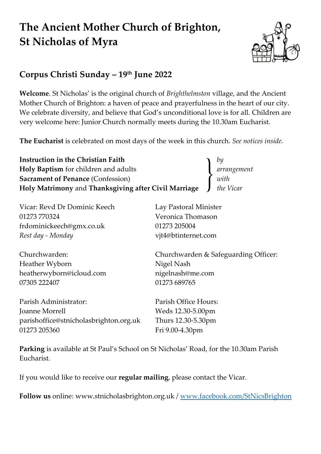# **The Ancient Mother Church of Brighton, St Nicholas of Myra**



# **Corpus Christi Sunday – 19 th June 2022**

**Welcome**. St Nicholas' is the original church of *Brighthelmston* village, and the Ancient Mother Church of Brighton: a haven of peace and prayerfulness in the heart of our city. We celebrate diversity, and believe that God's unconditional love is for all. Children are very welcome here: Junior Church normally meets during the 10.30am Eucharist.

**The Eucharist** is celebrated on most days of the week in this church. *See notices inside.*

| Instruction in the Christian Faith                   | by          |
|------------------------------------------------------|-------------|
| Holy Baptism for children and adults                 | arrangement |
| <b>Sacrament of Penance (Confession)</b>             | with        |
| Holy Matrimony and Thanksgiving after Civil Marriage | the Vicar   |

| Vicar: Revd Dr Dominic Keech           | Lay Pastoral Minister                |  |  |
|----------------------------------------|--------------------------------------|--|--|
| 01273 770324                           | Veronica Thomason                    |  |  |
| frdominickeech@gmx.co.uk               | 01273 205004                         |  |  |
| Rest day - Monday                      | vjt4@btinternet.com                  |  |  |
| Churchwarden:                          | Churchwarden & Safeguarding Officer: |  |  |
| Heather Wyborn                         | Nigel Nash                           |  |  |
| heatherwyborn@icloud.com               | nigelnash@me.com                     |  |  |
| 07305 222407                           | 01273 689765                         |  |  |
| Parish Administrator:                  | Parish Office Hours:                 |  |  |
| Joanne Morrell                         | Weds 12.30-5.00pm                    |  |  |
| parishoffice@stnicholasbrighton.org.uk | Thurs 12.30-5.30pm                   |  |  |
| 01273 205360                           | Fri 9.00-4.30pm                      |  |  |
|                                        |                                      |  |  |

**Parking** is available at St Paul's School on St Nicholas' Road, for the 10.30am Parish Eucharist.

If you would like to receive our **regular mailing**, please contact the Vicar.

**Follow us** online: www.stnicholasbrighton.org.uk / www.facebook.com/StNicsBrighton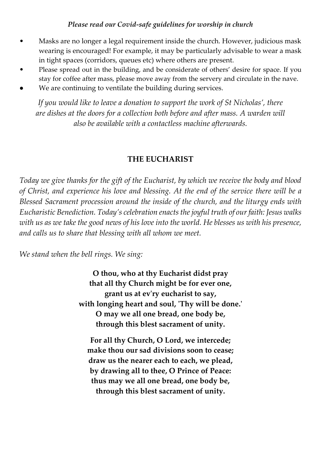#### *Please read our Covid-safe guidelines for worship in church*

- Masks are no longer a legal requirement inside the church. However, judicious mask wearing is encouraged! For example, it may be particularly advisable to wear a mask in tight spaces (corridors, queues etc) where others are present.
- Please spread out in the building, and be considerate of others' desire for space. If you stay for coffee after mass, please move away from the servery and circulate in the nave.
- We are continuing to ventilate the building during services.

*If you would like to leave a donation to support the work of St Nicholas', there are dishes at the doors for a collection both before and after mass. A warden will also be available with a contactless machine afterwards.*

#### **THE EUCHARIST**

*Today we give thanks for the gift of the Eucharist, by which we receive the body and blood of Christ, and experience his love and blessing. At the end of the service there will be a Blessed Sacrament procession around the inside of the church, and the liturgy ends with Eucharistic Benediction. Today's celebration enacts the joyful truth of our faith: Jesus walks with us as we take the good news of his love into the world. He blesses us with his presence, and calls us to share that blessing with all whom we meet.*

*We stand when the bell rings. We sing:*

**O thou, who at thy Eucharist didst pray that all thy Church might be for ever one, grant us at ev'ry eucharist to say, with longing heart and soul, 'Thy will be done.' O may we all one bread, one body be, through this blest sacrament of unity.**

**For all thy Church, O Lord, we intercede; make thou our sad divisions soon to cease; draw us the nearer each to each, we plead, by drawing all to thee, O Prince of Peace: thus may we all one bread, one body be, through this blest sacrament of unity.**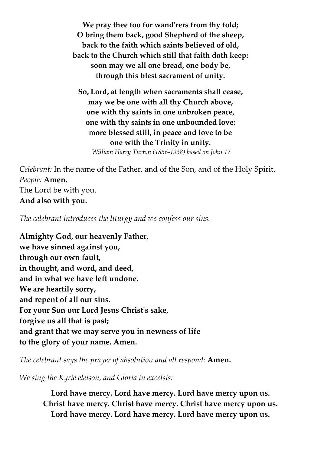**We pray thee too for wand'rers from thy fold; O bring them back, good Shepherd of the sheep, back to the faith which saints believed of old, back to the Church which still that faith doth keep: soon may we all one bread, one body be, through this blest sacrament of unity.**

**So, Lord, at length when sacraments shall cease, may we be one with all thy Church above, one with thy saints in one unbroken peace, one with thy saints in one unbounded love: more blessed still, in peace and love to be one with the Trinity in unity.** *William Harry Turton (1856-1938) based on John 17*

*Celebrant:* In the name of the Father, and of the Son, and of the Holy Spirit. *People:* **Amen.** The Lord be with you. **And also with you.**

*The celebrant introduces the liturgy and we confess our sins.*

**Almighty God, our heavenly Father, we have sinned against you, through our own fault, in thought, and word, and deed, and in what we have left undone. We are heartily sorry, and repent of all our sins. For your Son our Lord Jesus Christ's sake, forgive us all that is past; and grant that we may serve you in newness of life to the glory of your name. Amen.**

*The celebrant says the prayer of absolution and all respond:* **Amen.**

*We sing the Kyrie eleison, and Gloria in excelsis:*

**Lord have mercy. Lord have mercy. Lord have mercy upon us. Christ have mercy. Christ have mercy. Christ have mercy upon us. Lord have mercy. Lord have mercy. Lord have mercy upon us.**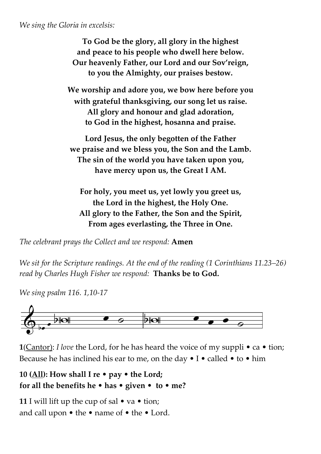*We sing the Gloria in excelsis:*

**To God be the glory, all glory in the highest and peace to his people who dwell here below. Our heavenly Father, our Lord and our Sov'reign, to you the Almighty, our praises bestow.**

**We worship and adore you, we bow here before you with grateful thanksgiving, our song let us raise. All glory and honour and glad adoration, to God in the highest, hosanna and praise.**

**Lord Jesus, the only begotten of the Father we praise and we bless you, the Son and the Lamb. The sin of the world you have taken upon you, have mercy upon us, the Great I AM.**

**For holy, you meet us, yet lowly you greet us, the Lord in the highest, the Holy One. All glory to the Father, the Son and the Spirit, From ages everlasting, the Three in One.**

*The celebrant prays the Collect and we respond:* **Amen**

*We sit for the Scripture readings. At the end of the reading (1 Corinthians 11.23–26) read by Charles Hugh Fisher we respond:* **Thanks be to God.**

*We sing psalm 116. 1,10-17*



**1**(Cantor): *I love* the Lord, for he has heard the voice of my suppli • ca • tion; Because he has inclined his ear to me, on the day  $\bullet$  I  $\bullet$  called  $\bullet$  to  $\bullet$  him

## **10 (All): How shall I re** • **pay** • **the Lord; for all the benefits he** • **has** • **given** • **to** • **me?**

**11** I will lift up the cup of sal • va • tion; and call upon • the • name of • the • Lord.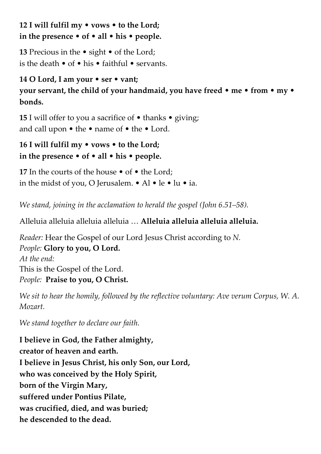**12 I will fulfil my** • **vows** • **to the Lord; in the presence** • **of** • **all** • **his** • **people.**

**13** Precious in the • sight • of the Lord; is the death  $\bullet$  of  $\bullet$  his  $\bullet$  faithful  $\bullet$  servants.

## **14 O Lord, I am your** • **ser** • **vant;**

**your servant, the child of your handmaid, you have freed** • **me** • **from** • **my** • **bonds.** 

**15** I will offer to you a sacrifice of • thanks • giving; and call upon • the • name of • the • Lord.

**16 I will fulfil my** • **vows** • **to the Lord; in the presence** • **of** • **all** • **his** • **people.** 

**17** In the courts of the house • of • the Lord; in the midst of you, O Jerusalem. • Al • le • lu • ia.

*We stand, joining in the acclamation to herald the gospel (John 6.51–58).*

Alleluia alleluia alleluia alleluia … **Alleluia alleluia alleluia alleluia.**

*Reader:* Hear the Gospel of our Lord Jesus Christ according to *N. People:* **Glory to you, O Lord.** *At the end:* This is the Gospel of the Lord. *People:* **Praise to you, O Christ.**

*We sit to hear the homily, followed by the reflective voluntary: Ave verum Corpus, W. A. Mozart.*

*We stand together to declare our faith.*

**I believe in God, the Father almighty, creator of heaven and earth. I believe in Jesus Christ, his only Son, our Lord, who was conceived by the Holy Spirit, born of the Virgin Mary, suffered under Pontius Pilate, was crucified, died, and was buried; he descended to the dead.**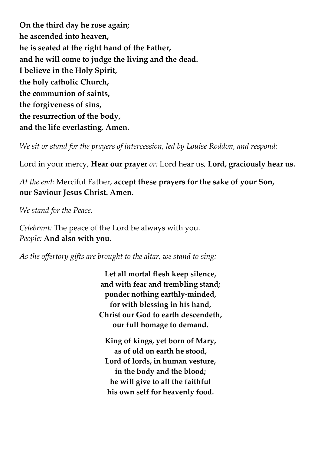**On the third day he rose again; he ascended into heaven, he is seated at the right hand of the Father, and he will come to judge the living and the dead. I believe in the Holy Spirit, the holy catholic Church, the communion of saints, the forgiveness of sins, the resurrection of the body, and the life everlasting. Amen.**

*We sit or stand for the prayers of intercession, led by Louise Roddon, and respond:*

Lord in your mercy, **Hear our prayer** *or:* Lord hear us*,* **Lord, graciously hear us.**

*At the end:* Merciful Father, **accept these prayers for the sake of your Son, our Saviour Jesus Christ. Amen.**

*We stand for the Peace.* 

*Celebrant:* The peace of the Lord be always with you. *People:* **And also with you.** 

*As the offertory gifts are brought to the altar, we stand to sing:*

**Let all mortal flesh keep silence, and with fear and trembling stand; ponder nothing earthly-minded, for with blessing in his hand, Christ our God to earth descendeth, our full homage to demand.**

**King of kings, yet born of Mary, as of old on earth he stood, Lord of lords, in human vesture, in the body and the blood; he will give to all the faithful his own self for heavenly food.**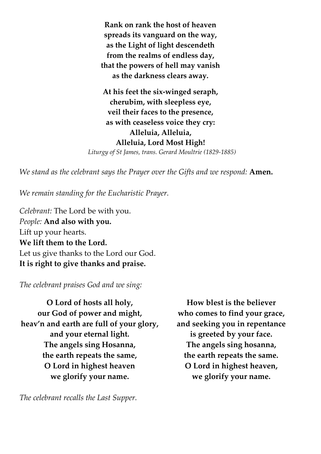**Rank on rank the host of heaven spreads its vanguard on the way, as the Light of light descendeth from the realms of endless day, that the powers of hell may vanish as the darkness clears away.** 

**At his feet the six-winged seraph, cherubim, with sleepless eye, veil their faces to the presence, as with ceaseless voice they cry: Alleluia, Alleluia, Alleluia, Lord Most High!**  *Liturgy of St James, trans. Gerard Moultrie (1829-1885)*

*We stand as the celebrant says the Prayer over the Gifts and we respond: Amen.* 

*We remain standing for the Eucharistic Prayer.*

*Celebrant:* The Lord be with you. *People:* **And also with you.** Lift up your hearts. **We lift them to the Lord.** Let us give thanks to the Lord our God. **It is right to give thanks and praise.**

*The celebrant praises God and we sing:*

**O Lord of hosts all holy, our God of power and might, heav'n and earth are full of your glory, and your eternal light. The angels sing Hosanna, the earth repeats the same, O Lord in highest heaven we glorify your name.**

*The celebrant recalls the Last Supper.* 

**How blest is the believer who comes to find your grace, and seeking you in repentance is greeted by your face. The angels sing hosanna, the earth repeats the same. O Lord in highest heaven, we glorify your name.**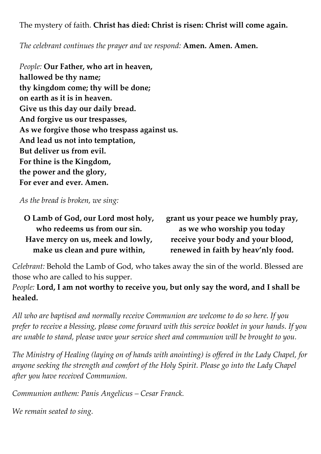The mystery of faith. **Christ has died: Christ is risen: Christ will come again.**

*The celebrant continues the prayer and we respond:* **Amen. Amen. Amen.**

*People:* **Our Father, who art in heaven, hallowed be thy name; thy kingdom come; thy will be done; on earth as it is in heaven. Give us this day our daily bread. And forgive us our trespasses, As we forgive those who trespass against us. And lead us not into temptation, But deliver us from evil. For thine is the Kingdom, the power and the glory, For ever and ever. Amen.**

*As the bread is broken, we sing:* 

**O Lamb of God, our Lord most holy, who redeems us from our sin. Have mercy on us, meek and lowly, make us clean and pure within,**

**grant us your peace we humbly pray, as we who worship you today receive your body and your blood, renewed in faith by heav'nly food.**

*Celebrant:* Behold the Lamb of God, who takes away the sin of the world. Blessed are those who are called to his supper.

*People:* **Lord, I am not worthy to receive you, but only say the word, and I shall be healed.**

*All who are baptised and normally receive Communion are welcome to do so here. If you prefer to receive a blessing, please come forward with this service booklet in your hands. If you are unable to stand, please wave your service sheet and communion will be brought to you.* 

*The Ministry of Healing (laying on of hands with anointing) is offered in the Lady Chapel, for anyone seeking the strength and comfort of the Holy Spirit. Please go into the Lady Chapel after you have received Communion.*

*Communion anthem: Panis Angelicus – Cesar Franck.*

*We remain seated to sing.*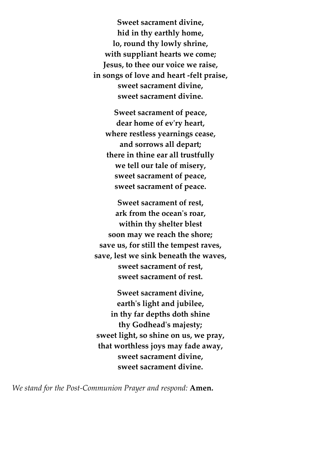**Sweet sacrament divine, hid in thy earthly home, lo, round thy lowly shrine, with suppliant hearts we come; Jesus, to thee our voice we raise, in songs of love and heart -felt praise, sweet sacrament divine, sweet sacrament divine.**

**Sweet sacrament of peace, dear home of ev'ry heart, where restless yearnings cease, and sorrows all depart; there in thine ear all trustfully we tell our tale of misery, sweet sacrament of peace, sweet sacrament of peace.**

**Sweet sacrament of rest, ark from the ocean's roar, within thy shelter blest soon may we reach the shore; save us, for still the tempest raves, save, lest we sink beneath the waves, sweet sacrament of rest, sweet sacrament of rest.**

**Sweet sacrament divine, earth's light and jubilee, in thy far depths doth shine thy Godhead's majesty; sweet light, so shine on us, we pray, that worthless joys may fade away, sweet sacrament divine, sweet sacrament divine.**

*We stand for the Post-Communion Prayer and respond:* **Amen.**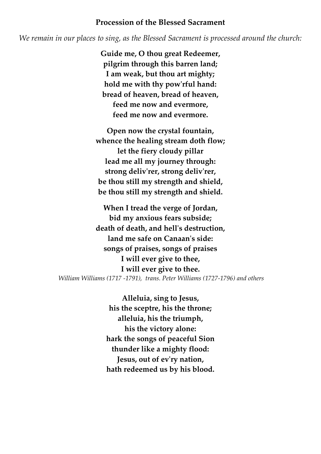#### **Procession of the Blessed Sacrament**

*We remain in our places to sing, as the Blessed Sacrament is processed around the church:*

**Guide me, O thou great Redeemer, pilgrim through this barren land; I am weak, but thou art mighty; hold me with thy pow'rful hand: bread of heaven, bread of heaven, feed me now and evermore, feed me now and evermore.**

**Open now the crystal fountain, whence the healing stream doth flow; let the fiery cloudy pillar lead me all my journey through: strong deliv'rer, strong deliv'rer, be thou still my strength and shield, be thou still my strength and shield.**

**When I tread the verge of Jordan, bid my anxious fears subside; death of death, and hell's destruction, land me safe on Canaan's side: songs of praises, songs of praises I will ever give to thee, I will ever give to thee.** *William Williams (1717 -1791), trans. Peter Williams (1727-1796) and others*

> **Alleluia, sing to Jesus, his the sceptre, his the throne; alleluia, his the triumph, his the victory alone: hark the songs of peaceful Sion thunder like a mighty flood: Jesus, out of ev'ry nation, hath redeemed us by his blood.**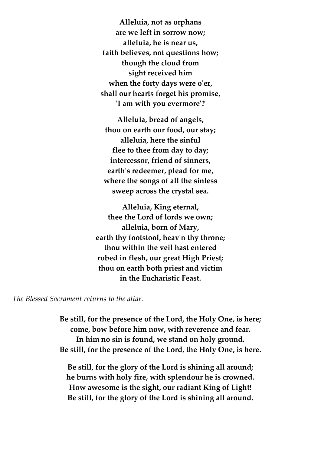**Alleluia, not as orphans are we left in sorrow now; alleluia, he is near us, faith believes, not questions how; though the cloud from sight received him when the forty days were o'er, shall our hearts forget his promise, 'I am with you evermore'?**

**Alleluia, bread of angels, thou on earth our food, our stay; alleluia, here the sinful flee to thee from day to day; intercessor, friend of sinners, earth's redeemer, plead for me, where the songs of all the sinless sweep across the crystal sea.**

**Alleluia, King eternal, thee the Lord of lords we own; alleluia, born of Mary, earth thy footstool, heav'n thy throne; thou within the veil hast entered robed in flesh, our great High Priest; thou on earth both priest and victim in the Eucharistic Feast.**

*The Blessed Sacrament returns to the altar.*

**Be still, for the presence of the Lord, the Holy One, is here; come, bow before him now, with reverence and fear. In him no sin is found, we stand on holy ground. Be still, for the presence of the Lord, the Holy One, is here.**

**Be still, for the glory of the Lord is shining all around; he burns with holy fire, with splendour he is crowned. How awesome is the sight, our radiant King of Light! Be still, for the glory of the Lord is shining all around.**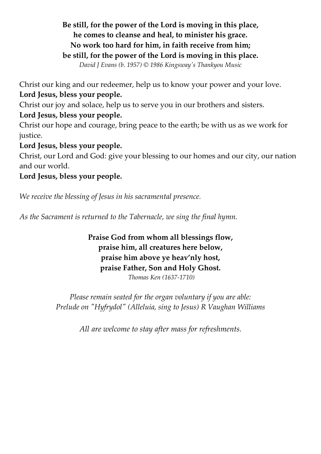## **Be still, for the power of the Lord is moving in this place, he comes to cleanse and heal, to minister his grace. No work too hard for him, in faith receive from him; be still, for the power of the Lord is moving in this place.**

*David J Evans (b. 1957) © 1986 Kingsway's Thankyou Music*

Christ our king and our redeemer, help us to know your power and your love. **Lord Jesus, bless your people.**

Christ our joy and solace, help us to serve you in our brothers and sisters.

**Lord Jesus, bless your people.**

Christ our hope and courage, bring peace to the earth; be with us as we work for justice.

**Lord Jesus, bless your people.**

Christ, our Lord and God: give your blessing to our homes and our city, our nation and our world.

### **Lord Jesus, bless your people.**

*We receive the blessing of Jesus in his sacramental presence.*

*As the Sacrament is returned to the Tabernacle, we sing the final hymn.*

**Praise God from whom all blessings flow, praise him, all creatures here below, praise him above ye heav'nly host, praise Father, Son and Holy Ghost.** *Thomas Ken (1637-1710)*

*Please remain seated for the organ voluntary if you are able: Prelude on "Hyfrydol" (Alleluia, sing to Jesus) R Vaughan Williams*

*All are welcome to stay after mass for refreshments.*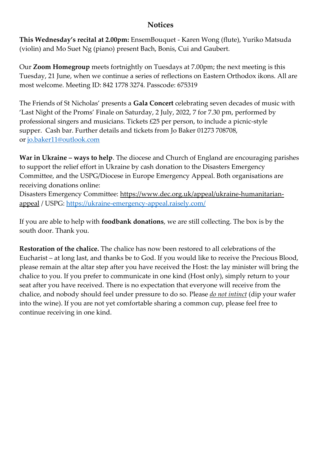#### **Notices**

**This Wednesday's recital at 2.00pm:** EnsemBouquet - Karen Wong (flute), Yuriko Matsuda (violin) and Mo Suet Ng (piano) present Bach, Bonis, Cui and Gaubert.

Our **Zoom Homegroup** meets fortnightly on Tuesdays at 7.00pm; the next meeting is this Tuesday, 21 June, when we continue a series of reflections on Eastern Orthodox ikons. All are most welcome. Meeting ID: 842 1778 3274. Passcode: 675319

The Friends of St Nicholas' presents a **Gala Concert** celebrating seven decades of music with 'Last Night of the Proms' Finale on Saturday, 2 July, 2022, 7 for 7.30 pm, performed by professional singers and musicians. Tickets £25 per person, to include a picnic-style supper. Cash bar. Further details and tickets from Jo Baker 01273 708708, or [jo.baker11@outlook.com](mailto:jo.baker11@outlook.com)

**War in Ukraine – ways to help**. The diocese and Church of England are encouraging parishes to support the relief effort in Ukraine by cash donation to the Disasters Emergency Committee, and the USPG/Diocese in Europe Emergency Appeal. Both organisations are receiving donations online:

Disasters Emergency Committee: https://www.dec.org.uk/appeal/ukraine-humanitarianappeal / USPG:<https://ukraine-emergency-appeal.raisely.com/>

If you are able to help with **foodbank donations**, we are still collecting. The box is by the south door. Thank you.

**Restoration of the chalice.** The chalice has now been restored to all celebrations of the Eucharist – at long last, and thanks be to God. If you would like to receive the Precious Blood, please remain at the altar step after you have received the Host: the lay minister will bring the chalice to you. If you prefer to communicate in one kind (Host only), simply return to your seat after you have received. There is no expectation that everyone will receive from the chalice, and nobody should feel under pressure to do so. Please *do not intinct* (dip your wafer into the wine). If you are not yet comfortable sharing a common cup, please feel free to continue receiving in one kind.